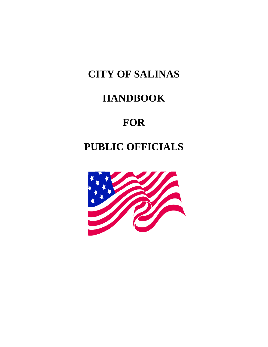# **CITY OF SALINAS**

# **HANDBOOK**

# **FOR**

# **PUBLIC OFFICIALS**

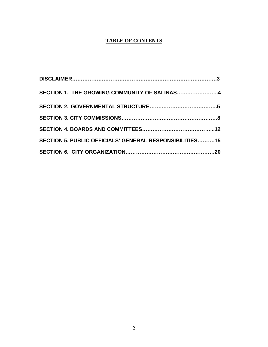### **TABLE OF CONTENTS**

| SECTION 1. THE GROWING COMMUNITY OF SALINAS4            |  |
|---------------------------------------------------------|--|
|                                                         |  |
|                                                         |  |
|                                                         |  |
| SECTION 5. PUBLIC OFFICIALS' GENERAL RESPONSIBILITIES15 |  |
|                                                         |  |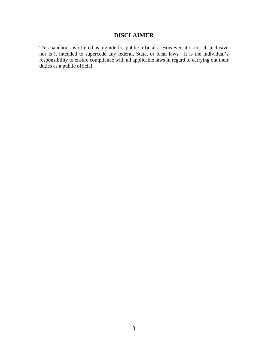# **DISCLAIMER**

This handbook is offered as a guide for public officials. However, it is not all inclusive nor is it intended to supercede any federal, State, or local laws. It is the individual's responsibility to ensure compliance with all applicable laws in regard to carrying out their duties as a public official.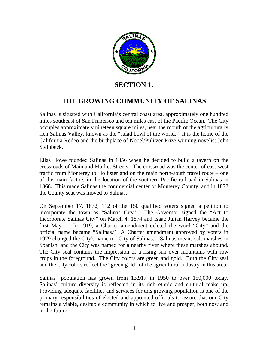

# **SECTION 1.**

# **THE GROWING COMMUNITY OF SALINAS**

Salinas is situated with California's central coast area, approximately one hundred miles southeast of San Francisco and ten miles east of the Pacific Ocean. The City occupies approximately nineteen square miles, near the mouth of the agriculturally rich Salinas Valley, known as the "salad bowl of the world." It is the home of the California Rodeo and the birthplace of Nobel/Pulitzer Prize winning novelist John Steinbeck.

Elias Howe founded Salinas in 1856 when he decided to build a tavern on the crossroads of Main and Market Streets. The crossroad was the center of east-west traffic from Monterey to Hollister and on the main north-south travel route – one of the main factors in the location of the southern Pacific railroad in Salinas in 1868. This made Salinas the commercial center of Monterey County, and in 1872 the County seat was moved to Salinas.

On September 17, 1872, 112 of the 150 qualified voters signed a petition to incorporate the town as "Salinas City." The Governor signed the "Act to Incorporate Salinas City" on March 4, 1874 and Isaac Julian Harvey became the first Mayor. In 1919, a Charter amendment deleted the word "City" and the official name became "Salinas." A Charter amendment approved by voters in 1979 changed the City's name to "City of Salinas." Salinas means salt marshes in Spanish, and the City was named for a nearby river where these marshes abound. The City seal contains the impression of a rising sun over mountains with row crops in the foreground. The City colors are green and gold. Both the City seal and the City colors reflect the "green gold" of the agricultural industry in this area.

Salinas' population has grown from 13,917 in 1950 to over 150,000 today. Salinas' culture diversity is reflected in its rich ethnic and cultural make up. Providing adequate facilities and services for this growing population is one of the primary responsibilities of elected and appointed officials to assure that our City remains a viable, desirable community in which to live and prosper, both now and in the future.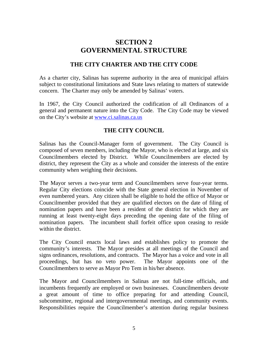# **SECTION 2 GOVERNMENTAL STRUCTURE**

# **THE CITY CHARTER AND THE CITY CODE**

As a charter city, Salinas has supreme authority in the area of municipal affairs subject to constitutional limitations and State laws relating to matters of statewide concern. The Charter may only be amended by Salinas' voters.

In 1967, the City Council authorized the codification of all Ordinances of a general and permanent nature into the City Code. The City Code may be viewed on the City's website at [www.ci.salinas.ca.us](http://www.ci.salinas.ca.us/)

# **THE CITY COUNCIL**

Salinas has the Council-Manager form of government. The City Council is composed of seven members, including the Mayor, who is elected at large, and six Councilmembers elected by District. While Councilmembers are elected by district, they represent the City as a whole and consider the interests of the entire community when weighing their decisions.

The Mayor serves a two-year term and Councilmembers serve four-year terms. Regular City elections coincide with the State general election in November of even numbered years. Any citizen shall be eligible to hold the office of Mayor or Councilmember provided that they are qualified electors on the date of filing of nomination papers and have been a resident of the district for which they are running at least twenty-eight days preceding the opening date of the filing of nomination papers. The incumbent shall forfeit office upon ceasing to reside within the district.

The City Council enacts local laws and establishes policy to promote the community's interests. The Mayor presides at all meetings of the Council and signs ordinances, resolutions, and contracts. The Mayor has a voice and vote in all proceedings, but has no veto power. The Mayor appoints one of the Councilmembers to serve as Mayor Pro Tem in his/her absence.

The Mayor and Councilmembers in Salinas are not full-time officials, and incumbents frequently are employed or own businesses. Councilmembers devote a great amount of time to office preparing for and attending Council, subcommittee, regional and intergovernmental meetings, and community events. Responsibilities require the Councilmember's attention during regular business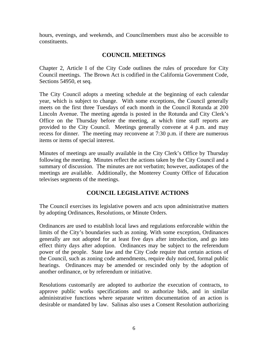hours, evenings, and weekends, and Councilmembers must also be accessible to constituents.

# **COUNCIL MEETINGS**

Chapter 2, Article I of the City Code outlines the rules of procedure for City Council meetings. The Brown Act is codified in the California Government Code, Sections 54950, et seq.

The City Council adopts a meeting schedule at the beginning of each calendar year, which is subject to change. With some exceptions, the Council generally meets on the first three Tuesdays of each month in the Council Rotunda at 200 Lincoln Avenue. The meeting agenda is posted in the Rotunda and City Clerk's Office on the Thursday before the meeting, at which time staff reports are provided to the City Council. Meetings generally convene at 4 p.m. and may recess for dinner. The meeting may reconvene at 7:30 p.m. if there are numerous items or items of special interest.

Minutes of meetings are usually available in the City Clerk's Office by Thursday following the meeting. Minutes reflect the actions taken by the City Council and a summary of discussion. The minutes are not verbatim; however, audiotapes of the meetings are available. Additionally, the Monterey County Office of Education televises segments of the meetings.

# **COUNCIL LEGISLATIVE ACTIONS**

The Council exercises its legislative powers and acts upon administrative matters by adopting Ordinances, Resolutions, or Minute Orders.

Ordinances are used to establish local laws and regulations enforceable within the limits of the City's boundaries such as zoning. With some exception, Ordinances generally are not adopted for at least five days after introduction, and go into effect thirty days after adoption. Ordinances may be subject to the referendum power of the people. State law and the City Code require that certain actions of the Council, such as zoning code amendments, require duly noticed, formal public hearings. Ordinances may be amended or rescinded only by the adoption of another ordinance, or by referendum or initiative.

Resolutions customarily are adopted to authorize the execution of contracts, to approve public works specifications and to authorize bids, and in similar administrative functions where separate written documentation of an action is desirable or mandated by law. Salinas also uses a Consent Resolution authorizing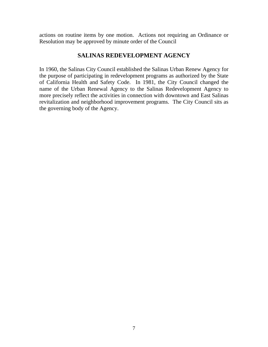actions on routine items by one motion. Actions not requiring an Ordinance or Resolution may be approved by minute order of the Council

# **SALINAS REDEVELOPMENT AGENCY**

In 1960, the Salinas City Council established the Salinas Urban Renew Agency for the purpose of participating in redevelopment programs as authorized by the State of California Health and Safety Code. In 1981, the City Council changed the name of the Urban Renewal Agency to the Salinas Redevelopment Agency to more precisely reflect the activities in connection with downtown and East Salinas revitalization and neighborhood improvement programs. The City Council sits as the governing body of the Agency.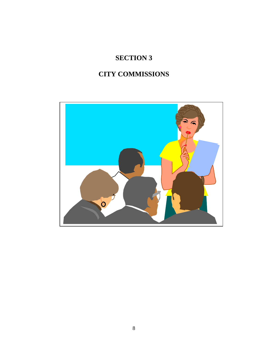# **SECTION 3**

# **CITY COMMISSIONS**

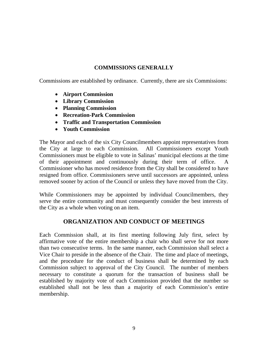### **COMMISSIONS GENERALLY**

Commissions are established by ordinance. Currently, there are six Commissions:

- **Airport Commission**
- **Library Commission**
- **Planning Commission**
- **Recreation-Park Commission**
- **Traffic and Transportation Commission**
- **Youth Commission**

The Mayor and each of the six City Councilmembers appoint representatives from the City at large to each Commission. All Commissioners except Youth Commissioners must be eligible to vote in Salinas' municipal elections at the time of their appointment and continuously during their term of office. A Commissioner who has moved residence from the City shall be considered to have resigned from office. Commissioners serve until successors are appointed, unless removed sooner by action of the Council or unless they have moved from the City.

While Commissioners may be appointed by individual Councilmembers, they serve the entire community and must consequently consider the best interests of the City as a whole when voting on an item.

# **ORGANIZATION AND CONDUCT OF MEETINGS**

Each Commission shall, at its first meeting following July first, select by affirmative vote of the entire membership a chair who shall serve for not more than two consecutive terms. In the same manner, each Commission shall select a Vice Chair to preside in the absence of the Chair. The time and place of meetings, and the procedure for the conduct of business shall be determined by each Commission subject to approval of the City Council. The number of members necessary to constitute a quorum for the transaction of business shall be established by majority vote of each Commission provided that the number so established shall not be less than a majority of each Commission's entire membership.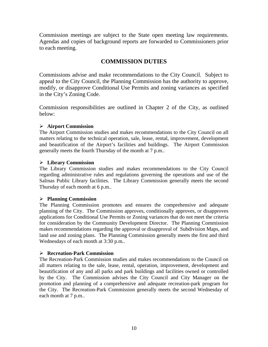Commission meetings are subject to the State open meeting law requirements. Agendas and copies of background reports are forwarded to Commissioners prior to each meeting.

# **COMMISSION DUTIES**

Commissions advise and make recommendations to the City Council. Subject to appeal to the City Council, the Planning Commission has the authority to approve, modify, or disapprove Conditional Use Permits and zoning variances as specified in the City's Zoning Code.

Commission responsibilities are outlined in Chapter 2 of the City, as outlined below:

#### ¾ **Airport Commission**

The Airport Commission studies and makes recommendations to the City Council on all matters relating to the technical operation, sale, lease, rental, improvement, development and beautification of the Airport's facilities and buildings. The Airport Commission generally meets the fourth Thursday of the month at 7 p.m..

#### ¾ **Library Commission**

The Library Commission studies and makes recommendations to the City Council regarding administrative rules and regulations governing the operations and use of the Salinas Public Library facilities. The Library Commission generally meets the second Thursday of each month at 6 p.m..

#### ¾ **Planning Commission**

The Planning Commission promotes and ensures the comprehensive and adequate planning of the City. The Commission approves, conditionally approves, or disapproves applications for Conditional Use Permits or Zoning variances that do not meet the criteria for consideration by the Community Development Director. The Planning Commission makes recommendations regarding the approval or disapproval of Subdivision Maps, and land use and zoning plans. The Planning Commission generally meets the first and third Wednesdays of each month at 3:30 p.m..

#### ¾ **Recreation-Park Commission**

The Recreation-Park Commission studies and makes recommendations to the Council on all matters relating to the sale, lease, rental, operation, improvement, development and beautification of any and all parks and park buildings and facilities owned or controlled by the City. The Commission advises the City Council and City Manager on the promotion and planning of a comprehensive and adequate recreation-park program for the City. The Recreation-Park Commission generally meets the second Wednesday of each month at 7 p.m..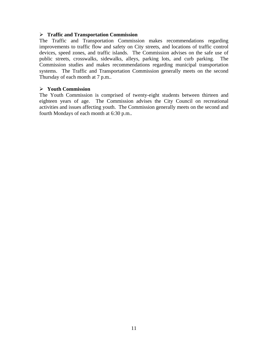#### ¾ **Traffic and Transportation Commission**

The Traffic and Transportation Commission makes recommendations regarding improvements to traffic flow and safety on City streets, and locations of traffic control devices, speed zones, and traffic islands. The Commission advises on the safe use of public streets, crosswalks, sidewalks, alleys, parking lots, and curb parking. The Commission studies and makes recommendations regarding municipal transportation systems. The Traffic and Transportation Commission generally meets on the second Thursday of each month at 7 p.m..

#### ¾ **Youth Commission**

The Youth Commission is comprised of twenty-eight students between thirteen and eighteen years of age. The Commission advises the City Council on recreational activities and issues affecting youth. The Commission generally meets on the second and fourth Mondays of each month at 6:30 p.m..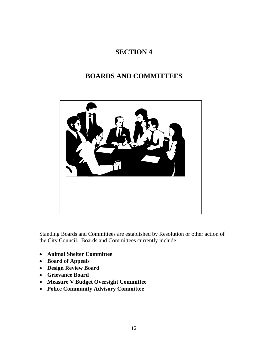# **SECTION 4**

# **BOARDS AND COMMITTEES**



Standing Boards and Committees are established by Resolution or other action of the City Council. Boards and Committees currently include:

- **Animal Shelter Committee**
- **Board of Appeals**
- **Design Review Board**
- **Grievance Board**
- **Measure V Budget Oversight Committee**
- **Police Community Advisory Committee**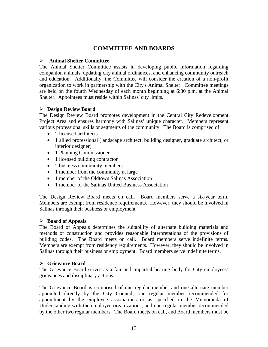### **COMMITTEE AND BOARDS**

#### ¾ **Animal Shelter Committee**

The Animal Shelter Committee assists in developing public information regarding companion animals, updating city animal ordinances, and enhancing community outreach and education. Additionally, the Committee will consider the creation of a non-profit organization to work in partnership with the City's Animal Shelter. Committee meetings are held on the fourth Wednesday of each month beginning at 6:30 p.m. at the Animal Shelter. Appointees must reside within Salinas' city limits.

#### ¾ **Design Review Board**

The Design Review Board promotes development in the Central City Redevelopment Project Area and ensures harmony with Salinas' unique character. Members represent various professional skills or segments of the community. The Board is comprised of:

- 2 licensed architects
- 1 allied professional (landscape architect, building designer, graduate architect, or interior designer)
- 1 Planning Commissioner
- 1 licensed building contractor
- 2 business community members
- 1 member from the community at large
- 1 member of the Oldtown Salinas Association
- 1 member of the Salinas United Business Association

The Design Review Board meets on call. Board members serve a six-year term. Members are exempt from residence requirements. However, they should be involved in Salinas through their business or employment.

#### ¾ **Board of Appeals**

The Board of Appeals determines the suitability of alternate building materials and methods of construction and provides reasonable interpretations of the provisions of building codes. The Board meets on call. Board members serve indefinite terms. Members are exempt from residency requirements. However, they should be involved in Salinas through their business or employment. Board members serve indefinite terms.

#### ¾ **Grievance Board**

The Grievance Board serves as a fair and impartial hearing body for City employees' grievances and disciplinary actions.

The Grievance Board is comprised of one regular member and one alternate member appointed directly by the City Council; one regular member recommended for appointment by the employee associations or as specified in the Memoranda of Understanding with the employee organizations; and one regular member recommended by the other two regular members. The Board meets on call, and Board members must be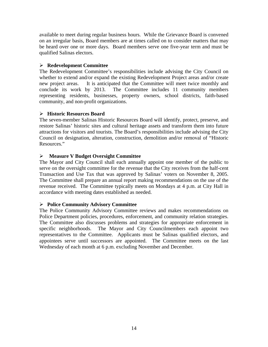available to meet during regular business hours. While the Grievance Board is convened on an irregular basis, Board members are at times called on to consider matters that may be heard over one or more days. Board members serve one five-year term and must be qualified Salinas electors.

#### ¾ **Redevelopment Committee**

The Redevelopment Committee's responsibilities include advising the City Council on whether to extend and/or expand the existing Redevelopment Project areas and/or create new project areas. It is anticipated that the Committee will meet twice monthly and conclude its work by 2013. The Committee includes 11 community members representing residents, businesses, property owners, school districts, faith-based community, and non-profit organizations.

#### ¾ **Historic Resources Board**

The seven-member Salinas Historic Resources Board will identify, protect, preserve, and restore Salinas' historic sites and cultural heritage assets and transform them into future attractions for visitors and tourists. The Board's responsibilities include advising the City Council on designation, alteration, construction, demolition and/or removal of "Historic Resources."

#### ¾ **Measure V Budget Oversight Committee**

The Mayor and City Council shall each annually appoint one member of the public to serve on the oversight committee for the revenue that the City receives from the half-cent Transaction and Use Tax that was approved by Salinas' voters on November 8, 2005. The Committee shall prepare an annual report making recommendations on the use of the revenue received. The Committee typically meets on Mondays at 4 p.m. at City Hall in accordance with meeting dates established as needed.

#### ¾ **Police Community Advisory Committee**

The Police Community Advisory Committee reviews and makes recommendations on Police Department policies, procedures, enforcement, and community relation strategies. The Committee also discusses problems and strategies for appropriate enforcement in specific neighborhoods. The Mayor and City Councilmembers each appoint two representatives to the Committee. Applicants must be Salinas qualified electors, and appointees serve until successors are appointed. The Committee meets on the last Wednesday of each month at 6 p.m. excluding November and December.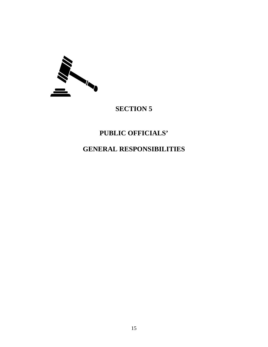

# **SECTION 5**

# **PUBLIC OFFICIALS'**

# **GENERAL RESPONSIBILITIES**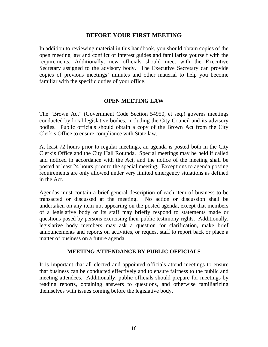#### **BEFORE YOUR FIRST MEETING**

In addition to reviewing material in this handbook, you should obtain copies of the open meeting law and conflict of interest guides and familiarize yourself with the requirements. Additionally, new officials should meet with the Executive Secretary assigned to the advisory body. The Executive Secretary can provide copies of previous meetings' minutes and other material to help you become familiar with the specific duties of your office.

#### **OPEN MEETING LAW**

The "Brown Act" (Government Code Section 54950, et seq.) governs meetings conducted by local legislative bodies, including the City Council and its advisory bodies. Public officials should obtain a copy of the Brown Act from the City Clerk's Office to ensure compliance with State law.

At least 72 hours prior to regular meetings, an agenda is posted both in the City Clerk's Office and the City Hall Rotunda. Special meetings may be held if called and noticed in accordance with the Act, and the notice of the meeting shall be posted at least 24 hours prior to the special meeting. Exceptions to agenda posting requirements are only allowed under very limited emergency situations as defined in the Act.

Agendas must contain a brief general description of each item of business to be transacted or discussed at the meeting. No action or discussion shall be undertaken on any item not appearing on the posted agenda, except that members of a legislative body or its staff may briefly respond to statements made or questions posed by persons exercising their public testimony rights. Additionally, legislative body members may ask a question for clarification, make brief announcements and reports on activities, or request staff to report back or place a matter of business on a future agenda.

#### **MEETING ATTENDANCE BY PUBLIC OFFICIALS**

It is important that all elected and appointed officials attend meetings to ensure that business can be conducted effectively and to ensure fairness to the public and meeting attendees. Additionally, public officials should prepare for meetings by reading reports, obtaining answers to questions, and otherwise familiarizing themselves with issues coming before the legislative body.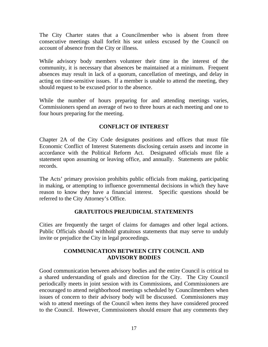The City Charter states that a Councilmember who is absent from three consecutive meetings shall forfeit his seat unless excused by the Council on account of absence from the City or illness.

While advisory body members volunteer their time in the interest of the community, it is necessary that absences be maintained at a minimum. Frequent absences may result in lack of a quorum, cancellation of meetings, and delay in acting on time-sensitive issues. If a member is unable to attend the meeting, they should request to be excused prior to the absence.

While the number of hours preparing for and attending meetings varies, Commissioners spend an average of two to three hours at each meeting and one to four hours preparing for the meeting.

### **CONFLICT OF INTEREST**

Chapter 2A of the City Code designates positions and offices that must file Economic Conflict of Interest Statements disclosing certain assets and income in accordance with the Political Reform Act. Designated officials must file a statement upon assuming or leaving office, and annually. Statements are public records.

The Acts' primary provision prohibits public officials from making, participating in making, or attempting to influence governmental decisions in which they have reason to know they have a financial interest. Specific questions should be referred to the City Attorney's Office.

# **GRATUITOUS PREJUDICIAL STATEMENTS**

Cities are frequently the target of claims for damages and other legal actions. Public Officials should withhold gratuitous statements that may serve to unduly invite or prejudice the City in legal proceedings.

# **COMMUNICATION BETWEEN CITY COUNCIL AND ADVISORY BODIES**

Good communication between advisory bodies and the entire Council is critical to a shared understanding of goals and direction for the City. The City Council periodically meets in joint session with its Commissions, and Commissioners are encouraged to attend neighborhood meetings scheduled by Councilmembers when issues of concern to their advisory body will be discussed. Commissioners may wish to attend meetings of the Council when items they have considered proceed to the Council. However, Commissioners should ensure that any comments they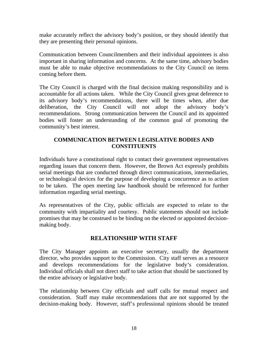make accurately reflect the advisory body's position, or they should identify that they are presenting their personal opinions.

Communication between Councilmembers and their individual appointees is also important in sharing information and concerns. At the same time, advisory bodies must be able to make objective recommendations to the City Council on items coming before them.

The City Council is charged with the final decision making responsibility and is accountable for all actions taken. While the City Council gives great deference to its advisory body's recommendations, there will be times when, after due deliberation, the City Council will not adopt the advisory body's recommendations. Strong communication between the Council and its appointed bodies will foster an understanding of the common goal of promoting the community's best interest.

### **COMMUNICATION BETWEEN LEGISLATIVE BODIES AND CONSTITUENTS**

Individuals have a constitutional right to contact their government representatives regarding issues that concern them. However, the Brown Act expressly prohibits serial meetings that are conducted through direct communications, intermediaries, or technological devices for the purpose of developing a concurrence as to action to be taken. The open meeting law handbook should be referenced for further information regarding serial meetings.

As representatives of the City, public officials are expected to relate to the community with impartiality and courtesy. Public statements should not include promises that may be construed to be binding on the elected or appointed decisionmaking body.

# **RELATIONSHIP WITH STAFF**

The City Manager appoints an executive secretary, usually the department director, who provides support to the Commission. City staff serves as a resource and develops recommendations for the legislative body's consideration. Individual officials shall not direct staff to take action that should be sanctioned by the entire advisory or legislative body.

The relationship between City officials and staff calls for mutual respect and consideration. Staff may make recommendations that are not supported by the decision-making body. However, staff's professional opinions should be treated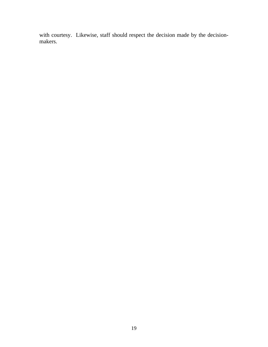with courtesy. Likewise, staff should respect the decision made by the decisionmakers.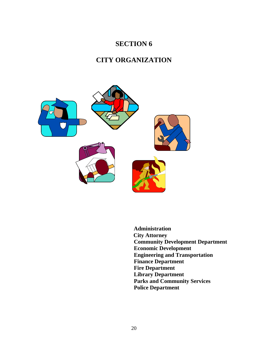# **SECTION 6**

# **CITY ORGANIZATION**



 **Administration City Attorney Community Development Department Economic Development Engineering and Transportation Finance Department Fire Department Library Department Parks and Community Services Police Department**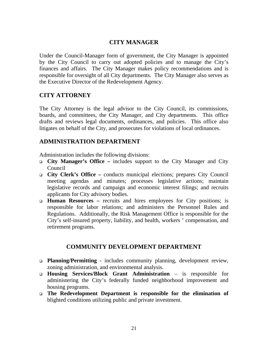# **CITY MANAGER**

Under the Council-Manager form of government, the City Manager is appointed by the City Council to carry out adopted policies and to manage the City's finances and affairs. The City Manager makes policy recommendations and is responsible for oversight of all City departments. The City Manager also serves as the Executive Director of the Redevelopment Agency.

### **CITY ATTORNEY**

The City Attorney is the legal advisor to the City Council, its commissions, boards, and committees, the City Manager, and City departments. This office drafts and reviews legal documents, ordinances, and policies. This office also litigates on behalf of the City, and prosecutes for violations of local ordinances.

# **ADMINISTRATION DEPARTMENT**

Administration includes the following divisions:

- **City Manager's Office** includes support to the City Manager and City Council
- **City Clerk's Office** conducts municipal elections; prepares City Council meeting agendas and minutes; processes legislative actions; maintain legislative records and campaign and economic interest filings; and recruits applicants for City advisory bodies.
- **Human Resources –** recruits and hires employees for City positions; is responsible for labor relations; and administers the Personnel Rules and Regulations. Additionally, the Risk Management Office is responsible for the City's self-insured property, liability, and health, workers ' compensation, and retirement programs.

# **COMMUNITY DEVELOPMENT DEPARTMENT**

- **Planning/Permitting** includes community planning, development review, zoning administration, and environmental analysis.
- **Housing Services/Block Grant Administration** is responsible for administering the City's federally funded neighborhood improvement and housing programs.
- **The Redevelopment Department is responsible for the elimination of** blighted conditions utilizing public and private investment.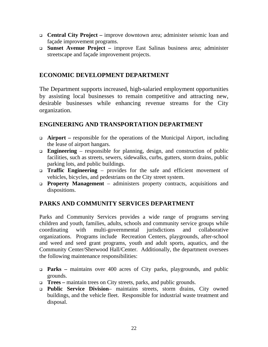- **Central City Project** improve downtown area; administer seismic loan and façade improvement programs.
- **Sunset Avenue Project –** improve East Salinas business area; administer streetscape and façade improvement projects.

# **ECONOMIC DEVELOPMENT DEPARTMENT**

The Department supports increased, high-salaried employment opportunities by assisting local businesses to remain competitive and attracting new, desirable businesses while enhancing revenue streams for the City organization.

# **ENGINEERING AND TRANSPORTATION DEPARTMENT**

- **Airport –** responsible for the operations of the Municipal Airport, including the lease of airport hangars.
- **Engineering** responsible for planning, design, and construction of public facilities, such as streets, sewers, sidewalks, curbs, gutters, storm drains, public parking lots, and public buildings.
- **Traffic Engineering**  provides for the safe and efficient movement of vehicles, bicycles, and pedestrians on the City street system.
- **Property Management**  administers property contracts, acquisitions and dispositions.

# **PARKS AND COMMUNITY SERVICES DEPARTMENT**

Parks and Community Services provides a wide range of programs serving children and youth, families, adults, schools and community service groups while coordinating with multi-governmental jurisdictions and collaborative organizations. Programs include Recreation Centers, playgrounds, after-school and weed and seed grant programs, youth and adult sports, aquatics, and the Community Center/Sherwood Hall/Center. Additionally, the department oversees the following maintenance responsibilities:

- **Parks** maintains over 400 acres of City parks, playgrounds, and public grounds.
- **Trees –** maintain trees on City streets, parks, and public grounds.
- **Public Service Division** maintains streets, storm drains, City owned buildings, and the vehicle fleet. Responsible for industrial waste treatment and disposal.